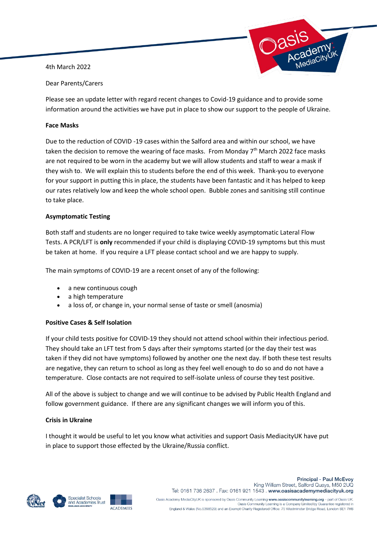4th March 2022



Dear Parents/Carers

Please see an update letter with regard recent changes to Covid-19 guidance and to provide some information around the activities we have put in place to show our support to the people of Ukraine.

## **Face Masks**

Due to the reduction of COVID -19 cases within the Salford area and within our school, we have taken the decision to remove the wearing of face masks. From Monday 7<sup>th</sup> March 2022 face masks are not required to be worn in the academy but we will allow students and staff to wear a mask if they wish to. We will explain this to students before the end of this week. Thank-you to everyone for your support in putting this in place, the students have been fantastic and it has helped to keep our rates relatively low and keep the whole school open. Bubble zones and sanitising still continue to take place.

## **Asymptomatic Testing**

Both staff and students are no longer required to take twice weekly asymptomatic Lateral Flow Tests. A PCR/LFT is **only** recommended if your child is displaying COVID-19 symptoms but this must be taken at home. If you require a LFT please contact school and we are happy to supply.

The main symptoms of COVID-19 are a recent onset of any of the following:

- a new continuous cough
- a high temperature
- a loss of, or change in, your normal sense of taste or smell (anosmia)

## **Positive Cases & Self Isolation**

If your child tests positive for COVID-19 they should not attend school within their infectious period. They should take an LFT test from 5 days after their symptoms started (or the day their test was taken if they did not have symptoms) followed by another one the next day. If both these test results are negative, they can return to school as long as they feel well enough to do so and do not have a temperature. Close contacts are not required to self-isolate unless of course they test positive.

All of the above is subject to change and we will continue to be advised by Public Health England and follow government guidance. If there are any significant changes we will inform you of this.

## **Crisis in Ukraine**

I thought it would be useful to let you know what activities and support Oasis MediacityUK have put in place to support those effected by the Ukraine/Russia conflict.